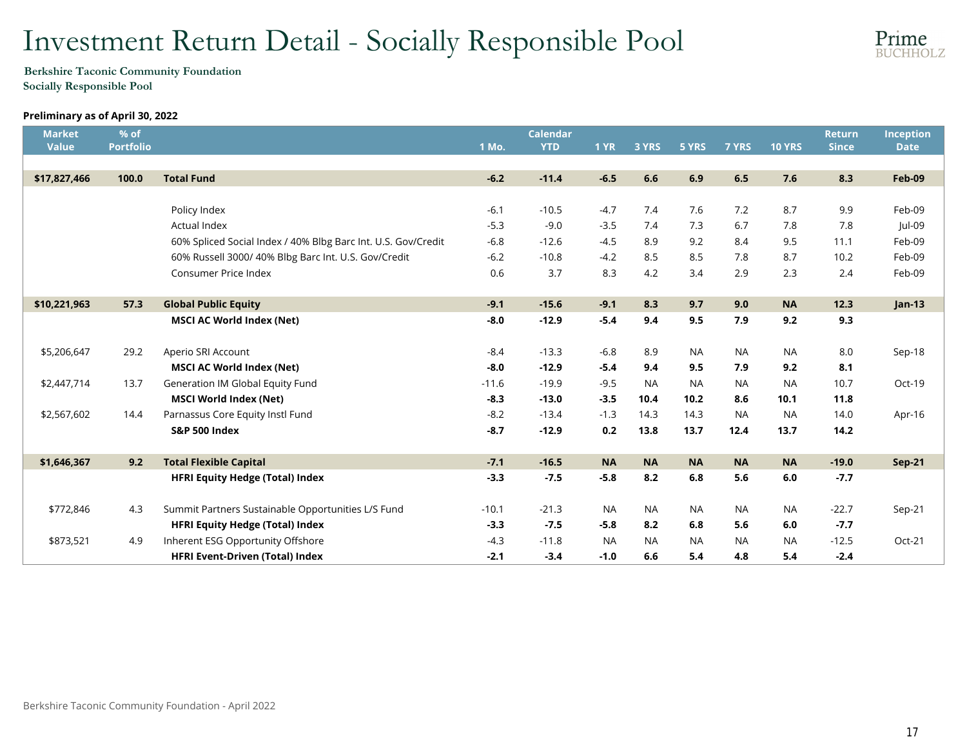# Investment Return Detail - Socially Responsible Pool



### Berkshire Taconic Community Foundation Socially Responsible Pool

## Preliminary as of April 30, 2022

| <b>Market</b><br><b>Value</b> | % of<br><b>Portfolio</b> |                                                               | 1 Mo.   | <b>Calendar</b><br><b>YTD</b> | <b>1 YR</b> | 3 YRS     | 5 YRS     | 7 YRS     | <b>10 YRS</b> | <b>Return</b><br><b>Since</b> | Inception<br><b>Date</b> |
|-------------------------------|--------------------------|---------------------------------------------------------------|---------|-------------------------------|-------------|-----------|-----------|-----------|---------------|-------------------------------|--------------------------|
|                               |                          |                                                               |         |                               |             |           |           |           |               |                               |                          |
| \$17,827,466                  | 100.0                    | <b>Total Fund</b>                                             | $-6.2$  | $-11.4$                       | $-6.5$      | 6.6       | 6.9       | 6.5       | 7.6           | 8.3                           | <b>Feb-09</b>            |
|                               |                          |                                                               |         |                               |             |           |           |           |               |                               |                          |
|                               |                          | Policy Index                                                  | $-6.1$  | $-10.5$                       | $-4.7$      | 7.4       | 7.6       | 7.2       | 8.7           | 9.9                           | Feb-09                   |
|                               |                          | <b>Actual Index</b>                                           | $-5.3$  | $-9.0$                        | $-3.5$      | 7.4       | 7.3       | 6.7       | 7.8           | 7.8                           | Jul-09                   |
|                               |                          | 60% Spliced Social Index / 40% Blbg Barc Int. U.S. Gov/Credit | $-6.8$  | $-12.6$                       | $-4.5$      | 8.9       | 9.2       | 8.4       | 9.5           | 11.1                          | Feb-09                   |
|                               |                          | 60% Russell 3000/ 40% Blbg Barc Int. U.S. Gov/Credit          | $-6.2$  | $-10.8$                       | $-4.2$      | 8.5       | 8.5       | 7.8       | 8.7           | 10.2                          | Feb-09                   |
|                               |                          | Consumer Price Index                                          | 0.6     | 3.7                           | 8.3         | 4.2       | 3.4       | 2.9       | 2.3           | 2.4                           | Feb-09                   |
|                               |                          |                                                               |         |                               |             |           |           |           |               |                               |                          |
| \$10,221,963                  | 57.3                     | <b>Global Public Equity</b>                                   | $-9.1$  | $-15.6$                       | $-9.1$      | 8.3       | 9.7       | 9.0       | <b>NA</b>     | 12.3                          | $Jan-13$                 |
|                               |                          | <b>MSCI AC World Index (Net)</b>                              | $-8.0$  | $-12.9$                       | $-5.4$      | 9.4       | 9.5       | 7.9       | 9.2           | 9.3                           |                          |
|                               |                          |                                                               |         |                               |             |           |           |           |               |                               |                          |
| \$5,206,647                   | 29.2                     | Aperio SRI Account                                            | $-8.4$  | $-13.3$                       | $-6.8$      | 8.9       | <b>NA</b> | <b>NA</b> | <b>NA</b>     | 8.0                           | Sep-18                   |
|                               |                          | <b>MSCI AC World Index (Net)</b>                              | $-8.0$  | $-12.9$                       | $-5.4$      | 9.4       | 9.5       | 7.9       | 9.2           | 8.1                           |                          |
| \$2,447,714                   | 13.7                     | Generation IM Global Equity Fund                              | $-11.6$ | $-19.9$                       | $-9.5$      | <b>NA</b> | <b>NA</b> | <b>NA</b> | <b>NA</b>     | 10.7                          | Oct-19                   |
|                               |                          | <b>MSCI World Index (Net)</b>                                 | $-8.3$  | $-13.0$                       | $-3.5$      | 10.4      | 10.2      | 8.6       | 10.1          | 11.8                          |                          |
| \$2,567,602                   | 14.4                     | Parnassus Core Equity Instl Fund                              | $-8.2$  | $-13.4$                       | $-1.3$      | 14.3      | 14.3      | <b>NA</b> | <b>NA</b>     | 14.0                          | Apr-16                   |
|                               |                          | <b>S&amp;P 500 Index</b>                                      | $-8.7$  | $-12.9$                       | 0.2         | 13.8      | 13.7      | 12.4      | 13.7          | 14.2                          |                          |
|                               |                          |                                                               |         |                               |             |           |           |           |               |                               |                          |
| \$1,646,367                   | 9.2                      | <b>Total Flexible Capital</b>                                 | $-7.1$  | $-16.5$                       | <b>NA</b>   | <b>NA</b> | <b>NA</b> | <b>NA</b> | <b>NA</b>     | $-19.0$                       | <b>Sep-21</b>            |
|                               |                          | <b>HFRI Equity Hedge (Total) Index</b>                        | $-3.3$  | $-7.5$                        | $-5.8$      | 8.2       | 6.8       | 5.6       | 6.0           | $-7.7$                        |                          |
|                               |                          |                                                               |         |                               |             |           |           |           |               |                               |                          |
| \$772,846                     | 4.3                      | Summit Partners Sustainable Opportunities L/S Fund            | $-10.1$ | $-21.3$                       | <b>NA</b>   | <b>NA</b> | NA        | <b>NA</b> | <b>NA</b>     | $-22.7$                       | Sep-21                   |
|                               |                          | <b>HFRI Equity Hedge (Total) Index</b>                        | $-3.3$  | $-7.5$                        | $-5.8$      | 8.2       | 6.8       | 5.6       | 6.0           | $-7.7$                        |                          |
| \$873,521                     | 4.9                      | Inherent ESG Opportunity Offshore                             | $-4.3$  | $-11.8$                       | <b>NA</b>   | <b>NA</b> | <b>NA</b> | <b>NA</b> | <b>NA</b>     | $-12.5$                       | Oct-21                   |
|                               |                          | <b>HFRI Event-Driven (Total) Index</b>                        | $-2.1$  | $-3.4$                        | $-1.0$      | 6.6       | 5.4       | 4.8       | 5.4           | $-2.4$                        |                          |